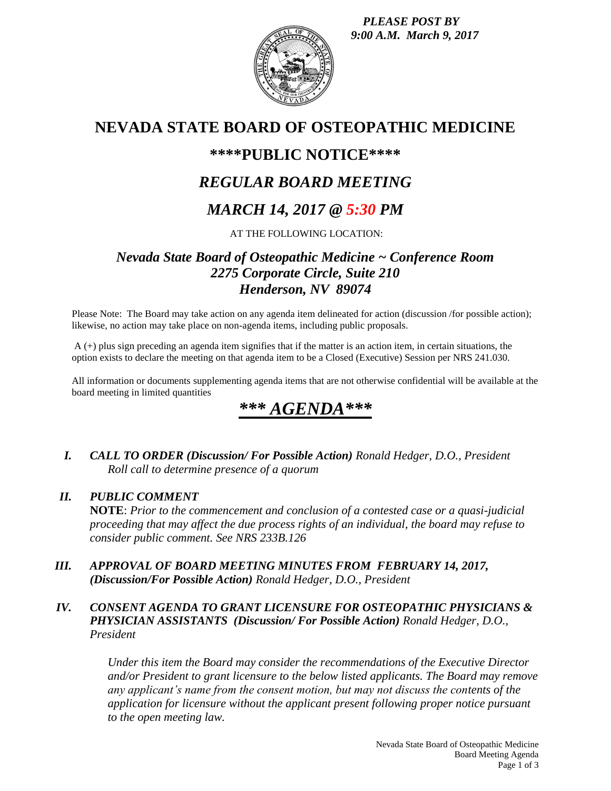*PLEASE POST BY 9:00 A.M. March 9, 2017*



# **NEVADA STATE BOARD OF OSTEOPATHIC MEDICINE**

## **\*\*\*\*PUBLIC NOTICE\*\*\*\***

# *REGULAR BOARD MEETING*

# *MARCH 14, 2017 @ 5:30 PM*

AT THE FOLLOWING LOCATION:

## *Nevada State Board of Osteopathic Medicine ~ Conference Room 2275 Corporate Circle, Suite 210 Henderson, NV 89074*

Please Note: The Board may take action on any agenda item delineated for action (discussion /for possible action); likewise, no action may take place on non-agenda items, including public proposals.

A (+) plus sign preceding an agenda item signifies that if the matter is an action item, in certain situations, the option exists to declare the meeting on that agenda item to be a Closed (Executive) Session per NRS 241.030.

All information or documents supplementing agenda items that are not otherwise confidential will be available at the board meeting in limited quantities

# \*\*\* *AGEN*

*I. CALL TO ORDER (Discussion/ For Possible Action) Ronald Hedger, D.O., President Roll call to determine presence of a quorum*

### *II. PUBLIC COMMENT*

**NOTE**: *Prior to the commencement and conclusion of a contested case or a quasi-judicial proceeding that may affect the due process rights of an individual, the board may refuse to consider public comment. See NRS 233B.126*

*III. APPROVAL OF BOARD MEETING MINUTES FROM FEBRUARY 14, 2017, (Discussion/For Possible Action) Ronald Hedger, D.O., President*

### *IV. CONSENT AGENDA TO GRANT LICENSURE FOR OSTEOPATHIC PHYSICIANS & PHYSICIAN ASSISTANTS (Discussion/ For Possible Action) Ronald Hedger, D.O., President*

*Under this item the Board may consider the recommendations of the Executive Director and/or President to grant licensure to the below listed applicants. The Board may remove any applicant's name from the consent motion, but may not discuss the contents of the application for licensure without the applicant present following proper notice pursuant to the open meeting law.*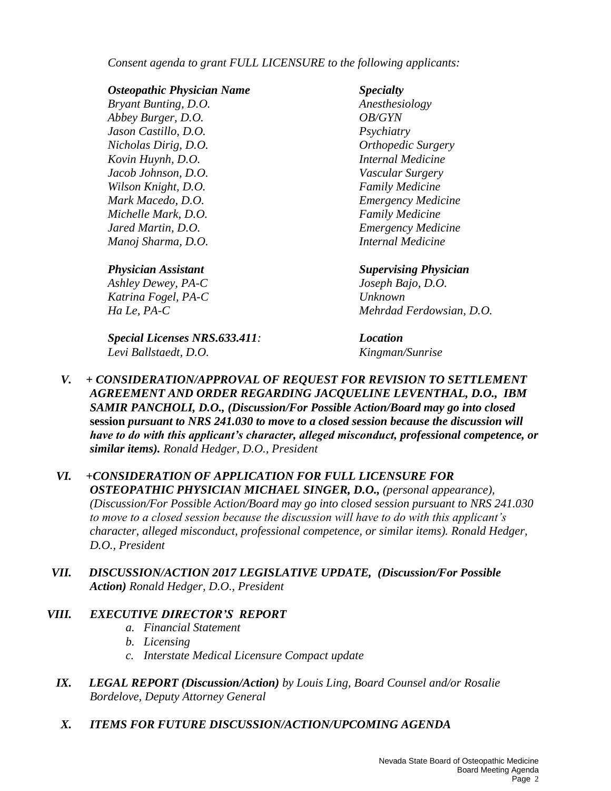*Consent agenda to grant FULL LICENSURE to the following applicants:*

#### *Osteopathic Physician Name Specialty*

*Bryant Bunting, D.O. Anesthesiology Abbey Burger, D.O. OB/GYN Jason Castillo, D.O. Psychiatry Nicholas Dirig, D.O. Orthopedic Surgery Kovin Huynh, D.O. Internal Medicine Jacob Johnson, D.O. Vascular Surgery Wilson Knight, D.O. Family Medicine Mark Macedo, D.O. Emergency Medicine Michelle Mark, D.O. Family Medicine Jared Martin, D.O. Emergency Medicine Manoj Sharma, D.O. Internal Medicine*

*Ashley Dewey, PA-C Joseph Bajo, D.O. Katrina Fogel, PA-C Unknown*

*Special Licenses NRS.633.411: Location Levi Ballstaedt, D.O. Kingman/Sunrise*

## *Physician Assistant Supervising Physician*

*Ha Le, PA-C Mehrdad Ferdowsian, D.O.*

- *V. + CONSIDERATION/APPROVAL OF REQUEST FOR REVISION TO SETTLEMENT AGREEMENT AND ORDER REGARDING JACQUELINE LEVENTHAL, D.O., IBM SAMIR PANCHOLI, D.O., (Discussion/For Possible Action/Board may go into closed*  **session** *pursuant to NRS 241.030 to move to a closed session because the discussion will have to do with this applicant's character, alleged misconduct, professional competence, or similar items). Ronald Hedger, D.O., President*
- *VI. +CONSIDERATION OF APPLICATION FOR FULL LICENSURE FOR OSTEOPATHIC PHYSICIAN MICHAEL SINGER, D.O., (personal appearance), (Discussion/For Possible Action/Board may go into closed session pursuant to NRS 241.030 to move to a closed session because the discussion will have to do with this applicant's character, alleged misconduct, professional competence, or similar items). Ronald Hedger, D.O., President*
- *VII. DISCUSSION/ACTION 2017 LEGISLATIVE UPDATE, (Discussion/For Possible Action) Ronald Hedger, D.O., President*

## *VIII. EXECUTIVE DIRECTOR'S REPORT*

- *a. Financial Statement*
- *b. Licensing*
- *c. Interstate Medical Licensure Compact update*
- *IX. LEGAL REPORT (Discussion/Action) by Louis Ling, Board Counsel and/or Rosalie Bordelove, Deputy Attorney General*
- *X. ITEMS FOR FUTURE DISCUSSION/ACTION/UPCOMING AGENDA*